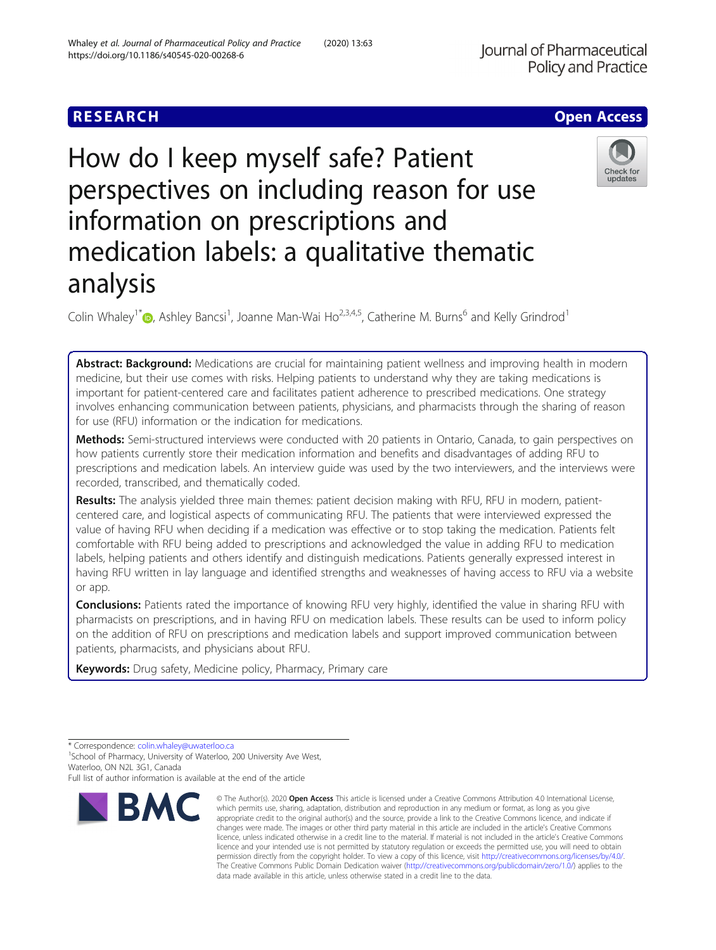## **RESEARCH CHE Open Access**

# How do I keep myself safe? Patient perspectives on including reason for use information on prescriptions and medication labels: a qualitative thematic analysis

Colin Whaley<sup>1[\\*](http://orcid.org/0000-0001-9651-1312)</sup> (D, Ashley Bancsi<sup>1</sup>, Joanne Man-Wai Ho<sup>2,3,4,5</sup>, Catherine M. Burns<sup>6</sup> and Kelly Grindrod<sup>1</sup>

Abstract: Background: Medications are crucial for maintaining patient wellness and improving health in modern medicine, but their use comes with risks. Helping patients to understand why they are taking medications is important for patient-centered care and facilitates patient adherence to prescribed medications. One strategy involves enhancing communication between patients, physicians, and pharmacists through the sharing of reason for use (RFU) information or the indication for medications.

Methods: Semi-structured interviews were conducted with 20 patients in Ontario, Canada, to gain perspectives on how patients currently store their medication information and benefits and disadvantages of adding RFU to prescriptions and medication labels. An interview guide was used by the two interviewers, and the interviews were recorded, transcribed, and thematically coded.

Results: The analysis yielded three main themes: patient decision making with RFU, RFU in modern, patientcentered care, and logistical aspects of communicating RFU. The patients that were interviewed expressed the value of having RFU when deciding if a medication was effective or to stop taking the medication. Patients felt comfortable with RFU being added to prescriptions and acknowledged the value in adding RFU to medication labels, helping patients and others identify and distinguish medications. Patients generally expressed interest in having RFU written in lay language and identified strengths and weaknesses of having access to RFU via a website or app.

**Conclusions:** Patients rated the importance of knowing RFU very highly, identified the value in sharing RFU with pharmacists on prescriptions, and in having RFU on medication labels. These results can be used to inform policy on the addition of RFU on prescriptions and medication labels and support improved communication between patients, pharmacists, and physicians about RFU.

Keywords: Drug safety, Medicine policy, Pharmacy, Primary care

**RMC** 



© The Author(s), 2020 **Open Access** This article is licensed under a Creative Commons Attribution 4.0 International License,



<sup>\*</sup> Correspondence: [colin.whaley@uwaterloo.ca](mailto:colin.whaley@uwaterloo.ca) <sup>1</sup>

<sup>&</sup>lt;sup>1</sup> School of Pharmacy, University of Waterloo, 200 University Ave West, Waterloo, ON N2L 3G1, Canada

Full list of author information is available at the end of the article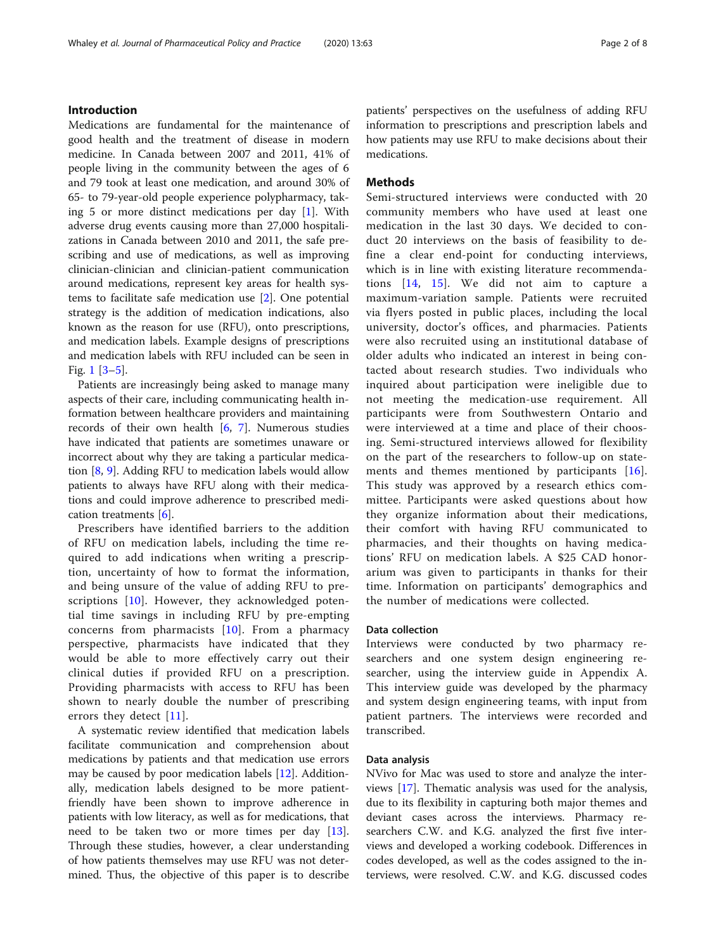Medications are fundamental for the maintenance of good health and the treatment of disease in modern medicine. In Canada between 2007 and 2011, 41% of people living in the community between the ages of 6 and 79 took at least one medication, and around 30% of 65- to 79-year-old people experience polypharmacy, taking 5 or more distinct medications per day [\[1](#page-7-0)]. With adverse drug events causing more than 27,000 hospitalizations in Canada between 2010 and 2011, the safe prescribing and use of medications, as well as improving clinician-clinician and clinician-patient communication around medications, represent key areas for health systems to facilitate safe medication use [\[2](#page-7-0)]. One potential strategy is the addition of medication indications, also known as the reason for use (RFU), onto prescriptions, and medication labels. Example designs of prescriptions and medication labels with RFU included can be seen in Fig. [1](#page-2-0) [\[3](#page-7-0)–[5\]](#page-7-0).

Patients are increasingly being asked to manage many aspects of their care, including communicating health information between healthcare providers and maintaining records of their own health [[6,](#page-7-0) [7](#page-7-0)]. Numerous studies have indicated that patients are sometimes unaware or incorrect about why they are taking a particular medication [[8,](#page-7-0) [9\]](#page-7-0). Adding RFU to medication labels would allow patients to always have RFU along with their medications and could improve adherence to prescribed medication treatments [[6](#page-7-0)].

Prescribers have identified barriers to the addition of RFU on medication labels, including the time required to add indications when writing a prescription, uncertainty of how to format the information, and being unsure of the value of adding RFU to prescriptions  $[10]$  $[10]$  $[10]$ . However, they acknowledged potential time savings in including RFU by pre-empting concerns from pharmacists [[10\]](#page-7-0). From a pharmacy perspective, pharmacists have indicated that they would be able to more effectively carry out their clinical duties if provided RFU on a prescription. Providing pharmacists with access to RFU has been shown to nearly double the number of prescribing errors they detect [[11](#page-7-0)].

A systematic review identified that medication labels facilitate communication and comprehension about medications by patients and that medication use errors may be caused by poor medication labels [\[12](#page-7-0)]. Additionally, medication labels designed to be more patientfriendly have been shown to improve adherence in patients with low literacy, as well as for medications, that need to be taken two or more times per day [\[13](#page-7-0)]. Through these studies, however, a clear understanding of how patients themselves may use RFU was not determined. Thus, the objective of this paper is to describe

patients' perspectives on the usefulness of adding RFU information to prescriptions and prescription labels and how patients may use RFU to make decisions about their medications.

## **Methods**

Semi-structured interviews were conducted with 20 community members who have used at least one medication in the last 30 days. We decided to conduct 20 interviews on the basis of feasibility to define a clear end-point for conducting interviews, which is in line with existing literature recommendations [[14,](#page-7-0) [15](#page-7-0)]. We did not aim to capture a maximum-variation sample. Patients were recruited via flyers posted in public places, including the local university, doctor's offices, and pharmacies. Patients were also recruited using an institutional database of older adults who indicated an interest in being contacted about research studies. Two individuals who inquired about participation were ineligible due to not meeting the medication-use requirement. All participants were from Southwestern Ontario and were interviewed at a time and place of their choosing. Semi-structured interviews allowed for flexibility on the part of the researchers to follow-up on state-ments and themes mentioned by participants [[16](#page-7-0)]. This study was approved by a research ethics committee. Participants were asked questions about how they organize information about their medications, their comfort with having RFU communicated to pharmacies, and their thoughts on having medications' RFU on medication labels. A \$25 CAD honorarium was given to participants in thanks for their time. Information on participants' demographics and the number of medications were collected.

## Data collection

Interviews were conducted by two pharmacy researchers and one system design engineering researcher, using the interview guide in Appendix A. This interview guide was developed by the pharmacy and system design engineering teams, with input from patient partners. The interviews were recorded and transcribed.

## Data analysis

NVivo for Mac was used to store and analyze the interviews [[17\]](#page-7-0). Thematic analysis was used for the analysis, due to its flexibility in capturing both major themes and deviant cases across the interviews. Pharmacy researchers C.W. and K.G. analyzed the first five interviews and developed a working codebook. Differences in codes developed, as well as the codes assigned to the interviews, were resolved. C.W. and K.G. discussed codes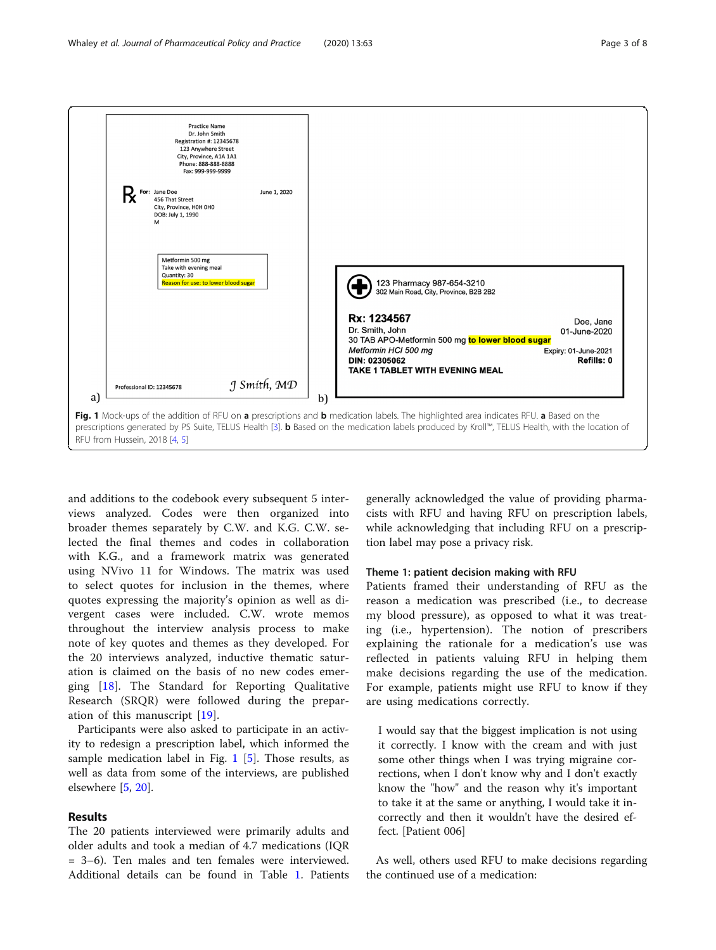<span id="page-2-0"></span>

and additions to the codebook every subsequent 5 interviews analyzed. Codes were then organized into broader themes separately by C.W. and K.G. C.W. selected the final themes and codes in collaboration with K.G., and a framework matrix was generated using NVivo 11 for Windows. The matrix was used to select quotes for inclusion in the themes, where quotes expressing the majority's opinion as well as divergent cases were included. C.W. wrote memos throughout the interview analysis process to make note of key quotes and themes as they developed. For the 20 interviews analyzed, inductive thematic saturation is claimed on the basis of no new codes emerging [\[18](#page-7-0)]. The Standard for Reporting Qualitative Research (SRQR) were followed during the preparation of this manuscript [[19](#page-7-0)].

Participants were also asked to participate in an activity to redesign a prescription label, which informed the sample medication label in Fig. 1 [[5](#page-7-0)]. Those results, as well as data from some of the interviews, are published elsewhere [[5](#page-7-0), [20](#page-7-0)].

## Results

The 20 patients interviewed were primarily adults and older adults and took a median of 4.7 medications (IQR = 3–6). Ten males and ten females were interviewed. Additional details can be found in Table [1](#page-3-0). Patients generally acknowledged the value of providing pharmacists with RFU and having RFU on prescription labels, while acknowledging that including RFU on a prescription label may pose a privacy risk.

## Theme 1: patient decision making with RFU

Patients framed their understanding of RFU as the reason a medication was prescribed (i.e., to decrease my blood pressure), as opposed to what it was treating (i.e., hypertension). The notion of prescribers explaining the rationale for a medication's use was reflected in patients valuing RFU in helping them make decisions regarding the use of the medication. For example, patients might use RFU to know if they are using medications correctly.

I would say that the biggest implication is not using it correctly. I know with the cream and with just some other things when I was trying migraine corrections, when I don't know why and I don't exactly know the "how" and the reason why it's important to take it at the same or anything, I would take it incorrectly and then it wouldn't have the desired effect. [Patient 006]

As well, others used RFU to make decisions regarding the continued use of a medication: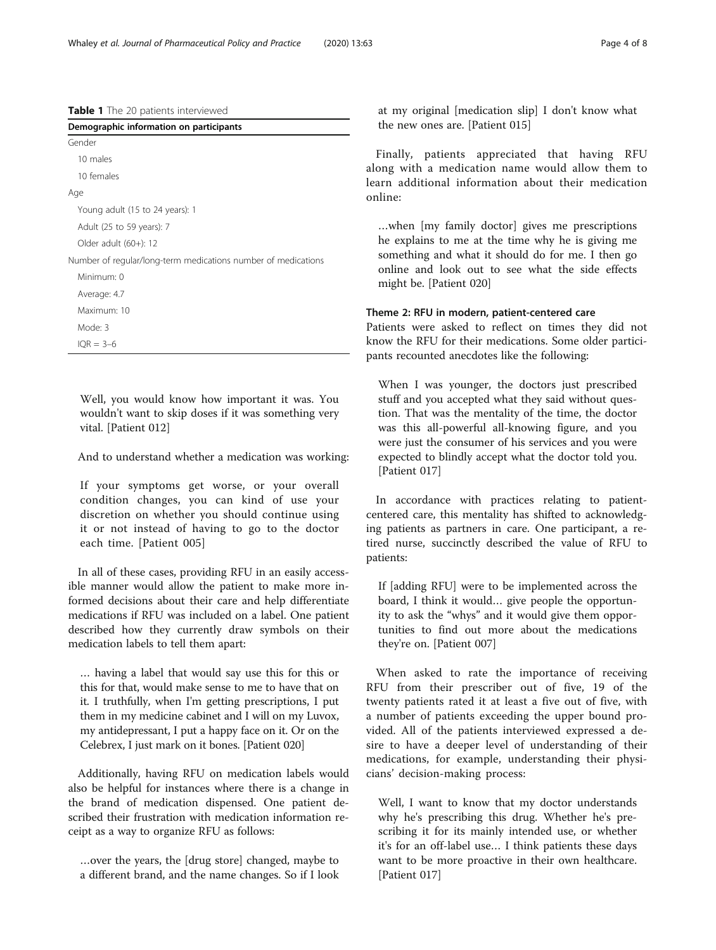<span id="page-3-0"></span>Table 1 The 20 patients interviewed

| Demographic information on participants                       |  |
|---------------------------------------------------------------|--|
| Gender                                                        |  |
| 10 males                                                      |  |
| 10 females                                                    |  |
| Age                                                           |  |
| Young adult (15 to 24 years): 1                               |  |
| Adult (25 to 59 years): 7                                     |  |
| Older adult (60+): 12                                         |  |
| Number of regular/long-term medications number of medications |  |
| Minimum: 0                                                    |  |
| Average: 4.7                                                  |  |
| Maximum: 10                                                   |  |
| Mode: 3                                                       |  |
| $IOR = 3-6$                                                   |  |

Well, you would know how important it was. You wouldn't want to skip doses if it was something very vital. [Patient 012]

And to understand whether a medication was working:

If your symptoms get worse, or your overall condition changes, you can kind of use your discretion on whether you should continue using it or not instead of having to go to the doctor each time. [Patient 005]

In all of these cases, providing RFU in an easily accessible manner would allow the patient to make more informed decisions about their care and help differentiate medications if RFU was included on a label. One patient described how they currently draw symbols on their medication labels to tell them apart:

… having a label that would say use this for this or this for that, would make sense to me to have that on it. I truthfully, when I'm getting prescriptions, I put them in my medicine cabinet and I will on my Luvox, my antidepressant, I put a happy face on it. Or on the Celebrex, I just mark on it bones. [Patient 020]

Additionally, having RFU on medication labels would also be helpful for instances where there is a change in the brand of medication dispensed. One patient described their frustration with medication information receipt as a way to organize RFU as follows:

…over the years, the [drug store] changed, maybe to a different brand, and the name changes. So if I look

at my original [medication slip] I don't know what the new ones are. [Patient 015]

Finally, patients appreciated that having RFU along with a medication name would allow them to learn additional information about their medication online:

…when [my family doctor] gives me prescriptions he explains to me at the time why he is giving me something and what it should do for me. I then go online and look out to see what the side effects might be. [Patient 020]

## Theme 2: RFU in modern, patient-centered care

Patients were asked to reflect on times they did not know the RFU for their medications. Some older participants recounted anecdotes like the following:

When I was younger, the doctors just prescribed stuff and you accepted what they said without question. That was the mentality of the time, the doctor was this all-powerful all-knowing figure, and you were just the consumer of his services and you were expected to blindly accept what the doctor told you. [Patient 017]

In accordance with practices relating to patientcentered care, this mentality has shifted to acknowledging patients as partners in care. One participant, a retired nurse, succinctly described the value of RFU to patients:

If [adding RFU] were to be implemented across the board, I think it would… give people the opportunity to ask the "whys" and it would give them opportunities to find out more about the medications they're on. [Patient 007]

When asked to rate the importance of receiving RFU from their prescriber out of five, 19 of the twenty patients rated it at least a five out of five, with a number of patients exceeding the upper bound provided. All of the patients interviewed expressed a desire to have a deeper level of understanding of their medications, for example, understanding their physicians' decision-making process:

Well, I want to know that my doctor understands why he's prescribing this drug. Whether he's prescribing it for its mainly intended use, or whether it's for an off-label use… I think patients these days want to be more proactive in their own healthcare. [Patient 017]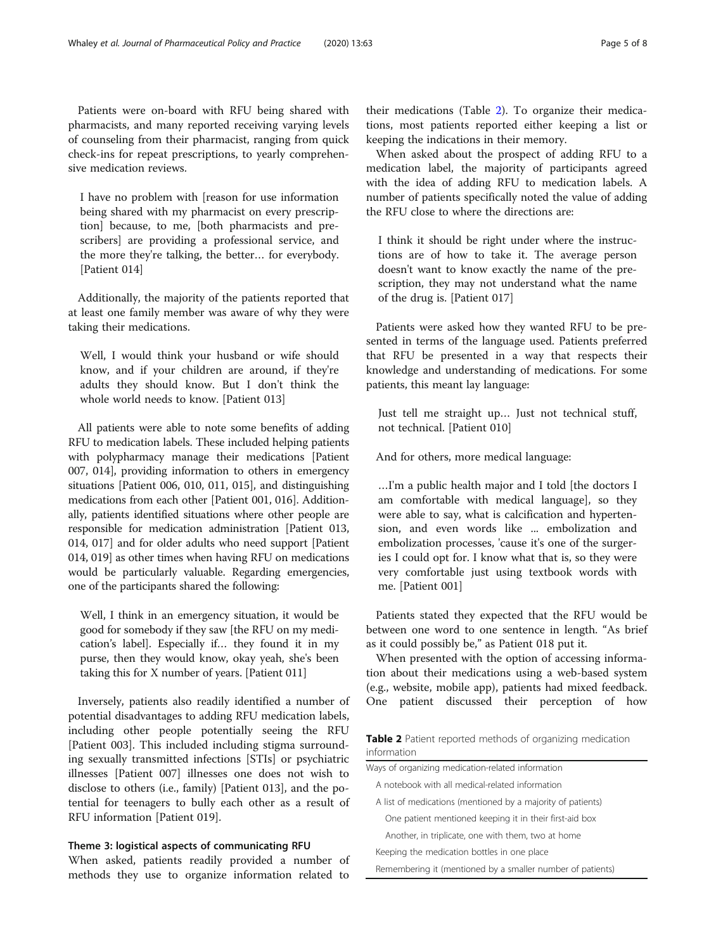Patients were on-board with RFU being shared with pharmacists, and many reported receiving varying levels of counseling from their pharmacist, ranging from quick check-ins for repeat prescriptions, to yearly comprehensive medication reviews.

I have no problem with [reason for use information being shared with my pharmacist on every prescription] because, to me, [both pharmacists and prescribers] are providing a professional service, and the more they're talking, the better… for everybody. [Patient 014]

Additionally, the majority of the patients reported that at least one family member was aware of why they were taking their medications.

Well, I would think your husband or wife should know, and if your children are around, if they're adults they should know. But I don't think the whole world needs to know. [Patient 013]

All patients were able to note some benefits of adding RFU to medication labels. These included helping patients with polypharmacy manage their medications [Patient 007, 014], providing information to others in emergency situations [Patient 006, 010, 011, 015], and distinguishing medications from each other [Patient 001, 016]. Additionally, patients identified situations where other people are responsible for medication administration [Patient 013, 014, 017] and for older adults who need support [Patient 014, 019] as other times when having RFU on medications would be particularly valuable. Regarding emergencies, one of the participants shared the following:

Well, I think in an emergency situation, it would be good for somebody if they saw [the RFU on my medication's label]. Especially if… they found it in my purse, then they would know, okay yeah, she's been taking this for X number of years. [Patient 011]

Inversely, patients also readily identified a number of potential disadvantages to adding RFU medication labels, including other people potentially seeing the RFU [Patient 003]. This included including stigma surrounding sexually transmitted infections [STIs] or psychiatric illnesses [Patient 007] illnesses one does not wish to disclose to others (i.e., family) [Patient 013], and the potential for teenagers to bully each other as a result of RFU information [Patient 019].

## Theme 3: logistical aspects of communicating RFU

When asked, patients readily provided a number of methods they use to organize information related to

their medications (Table 2). To organize their medications, most patients reported either keeping a list or keeping the indications in their memory.

When asked about the prospect of adding RFU to a medication label, the majority of participants agreed with the idea of adding RFU to medication labels. A number of patients specifically noted the value of adding the RFU close to where the directions are:

I think it should be right under where the instructions are of how to take it. The average person doesn't want to know exactly the name of the prescription, they may not understand what the name of the drug is. [Patient 017]

Patients were asked how they wanted RFU to be presented in terms of the language used. Patients preferred that RFU be presented in a way that respects their knowledge and understanding of medications. For some patients, this meant lay language:

Just tell me straight up… Just not technical stuff, not technical. [Patient 010]

And for others, more medical language:

…I'm a public health major and I told [the doctors I am comfortable with medical language], so they were able to say, what is calcification and hypertension, and even words like ... embolization and embolization processes, 'cause it's one of the surgeries I could opt for. I know what that is, so they were very comfortable just using textbook words with me. [Patient 001]

Patients stated they expected that the RFU would be between one word to one sentence in length. "As brief as it could possibly be," as Patient 018 put it.

When presented with the option of accessing information about their medications using a web-based system (e.g., website, mobile app), patients had mixed feedback. One patient discussed their perception of how

Table 2 Patient reported methods of organizing medication information

| Ways of organizing medication-related information                                                                                                                                                                                |
|----------------------------------------------------------------------------------------------------------------------------------------------------------------------------------------------------------------------------------|
| A notebook with all medical-related information                                                                                                                                                                                  |
| A list of medications (mentioned by a majority of patients)                                                                                                                                                                      |
| One patient mentioned keeping it in their first-aid box                                                                                                                                                                          |
| Another, in triplicate, one with them, two at home                                                                                                                                                                               |
| Keeping the medication bottles in one place                                                                                                                                                                                      |
| $\mathbf{1}$ , and the set of the set of the set of the set of the set of the set of the set of the set of the set of the set of the set of the set of the set of the set of the set of the set of the set of the set of the set |

Remembering it (mentioned by a smaller number of patients)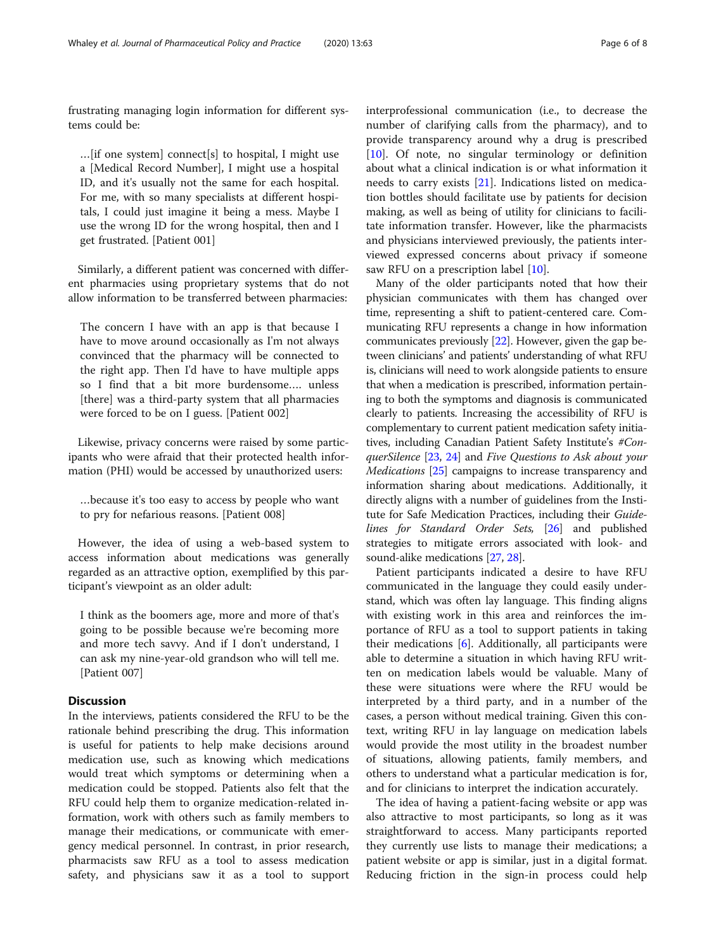frustrating managing login information for different systems could be:

…[if one system] connect[s] to hospital, I might use a [Medical Record Number], I might use a hospital ID, and it's usually not the same for each hospital. For me, with so many specialists at different hospitals, I could just imagine it being a mess. Maybe I use the wrong ID for the wrong hospital, then and I get frustrated. [Patient 001]

Similarly, a different patient was concerned with different pharmacies using proprietary systems that do not allow information to be transferred between pharmacies:

The concern I have with an app is that because I have to move around occasionally as I'm not always convinced that the pharmacy will be connected to the right app. Then I'd have to have multiple apps so I find that a bit more burdensome…. unless [there] was a third-party system that all pharmacies were forced to be on I guess. [Patient 002]

Likewise, privacy concerns were raised by some participants who were afraid that their protected health information (PHI) would be accessed by unauthorized users:

…because it's too easy to access by people who want to pry for nefarious reasons. [Patient 008]

However, the idea of using a web-based system to access information about medications was generally regarded as an attractive option, exemplified by this participant's viewpoint as an older adult:

I think as the boomers age, more and more of that's going to be possible because we're becoming more and more tech savvy. And if I don't understand, I can ask my nine-year-old grandson who will tell me. [Patient 007]

## **Discussion**

In the interviews, patients considered the RFU to be the rationale behind prescribing the drug. This information is useful for patients to help make decisions around medication use, such as knowing which medications would treat which symptoms or determining when a medication could be stopped. Patients also felt that the RFU could help them to organize medication-related information, work with others such as family members to manage their medications, or communicate with emergency medical personnel. In contrast, in prior research, pharmacists saw RFU as a tool to assess medication safety, and physicians saw it as a tool to support

interprofessional communication (i.e., to decrease the number of clarifying calls from the pharmacy), and to provide transparency around why a drug is prescribed [[10\]](#page-7-0). Of note, no singular terminology or definition about what a clinical indication is or what information it needs to carry exists [[21\]](#page-7-0). Indications listed on medication bottles should facilitate use by patients for decision making, as well as being of utility for clinicians to facilitate information transfer. However, like the pharmacists and physicians interviewed previously, the patients interviewed expressed concerns about privacy if someone saw RFU on a prescription label [\[10\]](#page-7-0).

Many of the older participants noted that how their physician communicates with them has changed over time, representing a shift to patient-centered care. Communicating RFU represents a change in how information communicates previously [\[22\]](#page-7-0). However, given the gap between clinicians' and patients' understanding of what RFU is, clinicians will need to work alongside patients to ensure that when a medication is prescribed, information pertaining to both the symptoms and diagnosis is communicated clearly to patients. Increasing the accessibility of RFU is complementary to current patient medication safety initiatives, including Canadian Patient Safety Institute's #ConquerSilence [\[23,](#page-7-0) [24\]](#page-7-0) and Five Questions to Ask about your Medications [\[25\]](#page-7-0) campaigns to increase transparency and information sharing about medications. Additionally, it directly aligns with a number of guidelines from the Institute for Safe Medication Practices, including their Guide-lines for Standard Order Sets, [[26](#page-7-0)] and published strategies to mitigate errors associated with look- and sound-alike medications [[27](#page-7-0), [28\]](#page-7-0).

Patient participants indicated a desire to have RFU communicated in the language they could easily understand, which was often lay language. This finding aligns with existing work in this area and reinforces the importance of RFU as a tool to support patients in taking their medications [[6\]](#page-7-0). Additionally, all participants were able to determine a situation in which having RFU written on medication labels would be valuable. Many of these were situations were where the RFU would be interpreted by a third party, and in a number of the cases, a person without medical training. Given this context, writing RFU in lay language on medication labels would provide the most utility in the broadest number of situations, allowing patients, family members, and others to understand what a particular medication is for, and for clinicians to interpret the indication accurately.

The idea of having a patient-facing website or app was also attractive to most participants, so long as it was straightforward to access. Many participants reported they currently use lists to manage their medications; a patient website or app is similar, just in a digital format. Reducing friction in the sign-in process could help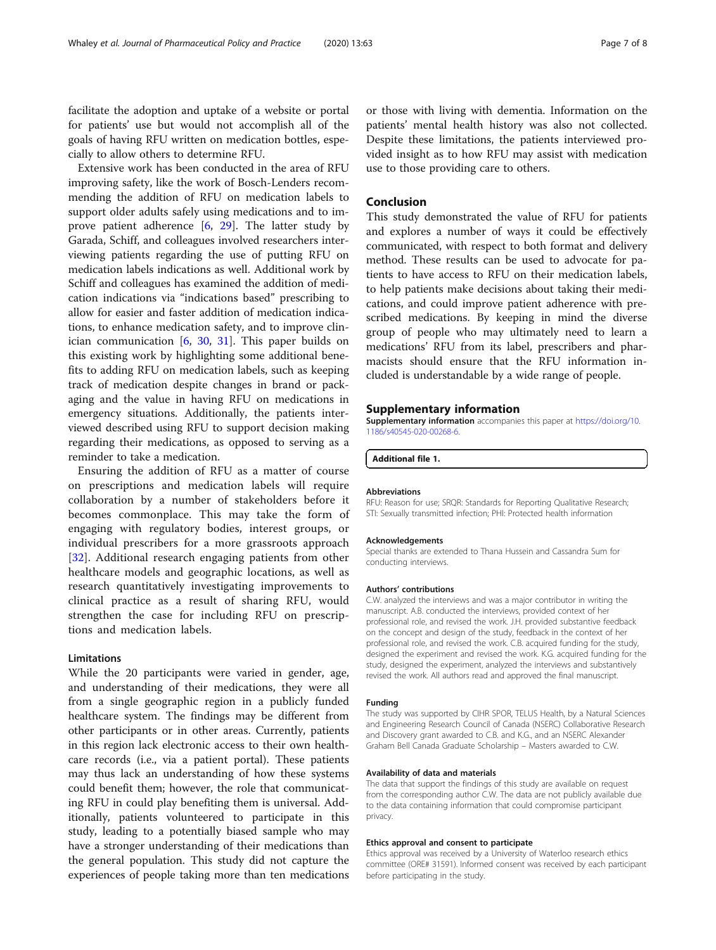facilitate the adoption and uptake of a website or portal for patients' use but would not accomplish all of the goals of having RFU written on medication bottles, especially to allow others to determine RFU.

Extensive work has been conducted in the area of RFU improving safety, like the work of Bosch-Lenders recommending the addition of RFU on medication labels to support older adults safely using medications and to improve patient adherence  $[6, 29]$  $[6, 29]$  $[6, 29]$ . The latter study by Garada, Schiff, and colleagues involved researchers interviewing patients regarding the use of putting RFU on medication labels indications as well. Additional work by Schiff and colleagues has examined the addition of medication indications via "indications based" prescribing to allow for easier and faster addition of medication indications, to enhance medication safety, and to improve clinician communication [[6](#page-7-0), [30](#page-7-0), [31\]](#page-7-0). This paper builds on this existing work by highlighting some additional benefits to adding RFU on medication labels, such as keeping track of medication despite changes in brand or packaging and the value in having RFU on medications in emergency situations. Additionally, the patients interviewed described using RFU to support decision making regarding their medications, as opposed to serving as a reminder to take a medication.

Ensuring the addition of RFU as a matter of course on prescriptions and medication labels will require collaboration by a number of stakeholders before it becomes commonplace. This may take the form of engaging with regulatory bodies, interest groups, or individual prescribers for a more grassroots approach [[32\]](#page-7-0). Additional research engaging patients from other healthcare models and geographic locations, as well as research quantitatively investigating improvements to clinical practice as a result of sharing RFU, would strengthen the case for including RFU on prescriptions and medication labels.

## Limitations

While the 20 participants were varied in gender, age, and understanding of their medications, they were all from a single geographic region in a publicly funded healthcare system. The findings may be different from other participants or in other areas. Currently, patients in this region lack electronic access to their own healthcare records (i.e., via a patient portal). These patients may thus lack an understanding of how these systems could benefit them; however, the role that communicating RFU in could play benefiting them is universal. Additionally, patients volunteered to participate in this study, leading to a potentially biased sample who may have a stronger understanding of their medications than the general population. This study did not capture the experiences of people taking more than ten medications

or those with living with dementia. Information on the patients' mental health history was also not collected. Despite these limitations, the patients interviewed provided insight as to how RFU may assist with medication use to those providing care to others.

## Conclusion

This study demonstrated the value of RFU for patients and explores a number of ways it could be effectively communicated, with respect to both format and delivery method. These results can be used to advocate for patients to have access to RFU on their medication labels, to help patients make decisions about taking their medications, and could improve patient adherence with prescribed medications. By keeping in mind the diverse group of people who may ultimately need to learn a medications' RFU from its label, prescribers and pharmacists should ensure that the RFU information included is understandable by a wide range of people.

#### Supplementary information

Supplementary information accompanies this paper at [https://doi.org/10.](https://doi.org/10.1186/s40545-020-00268-6) [1186/s40545-020-00268-6](https://doi.org/10.1186/s40545-020-00268-6).

Additional file 1.

#### Abbreviations

RFU: Reason for use; SRQR: Standards for Reporting Qualitative Research; STI: Sexually transmitted infection; PHI: Protected health information

#### Acknowledgements

Special thanks are extended to Thana Hussein and Cassandra Sum for conducting interviews.

#### Authors' contributions

C.W. analyzed the interviews and was a major contributor in writing the manuscript. A.B. conducted the interviews, provided context of her professional role, and revised the work. J.H. provided substantive feedback on the concept and design of the study, feedback in the context of her professional role, and revised the work. C.B. acquired funding for the study, designed the experiment and revised the work. K.G. acquired funding for the study, designed the experiment, analyzed the interviews and substantively revised the work. All authors read and approved the final manuscript.

#### Funding

The study was supported by CIHR SPOR, TELUS Health, by a Natural Sciences and Engineering Research Council of Canada (NSERC) Collaborative Research and Discovery grant awarded to C.B. and K.G., and an NSERC Alexander Graham Bell Canada Graduate Scholarship – Masters awarded to C.W.

#### Availability of data and materials

The data that support the findings of this study are available on request from the corresponding author C.W. The data are not publicly available due to the data containing information that could compromise participant privacy.

#### Ethics approval and consent to participate

Ethics approval was received by a University of Waterloo research ethics committee (ORE# 31591). Informed consent was received by each participant before participating in the study.